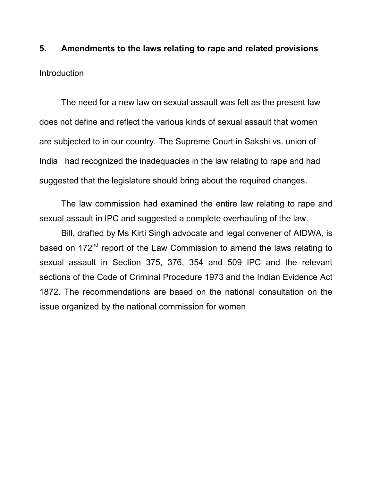5. Amendments to the laws relating to rape and related provisions **Introduction** 

 The need for a new law on sexual assault was felt as the present law does not define and reflect the various kinds of sexual assault that women are subjected to in our country. The Supreme Court in Sakshi vs. union of India had recognized the inadequacies in the law relating to rape and had suggested that the legislature should bring about the required changes.

 The law commission had examined the entire law relating to rape and sexual assault in IPC and suggested a complete overhauling of the law.

 Bill, drafted by Ms Kirti Singh advocate and legal convener of AIDWA, is based on 172<sup>nd</sup> report of the Law Commission to amend the laws relating to sexual assault in Section 375, 376, 354 and 509 IPC and the relevant sections of the Code of Criminal Procedure 1973 and the Indian Evidence Act 1872. The recommendations are based on the national consultation on the issue organized by the national commission for women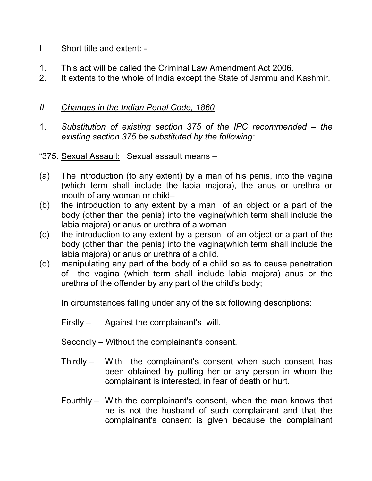### I Short title and extent: -

- 1. This act will be called the Criminal Law Amendment Act 2006.
- 2. It extents to the whole of India except the State of Jammu and Kashmir.

# II Changes in the Indian Penal Code, 1860

- 1. Substitution of existing section 375 of the IPC recommended the existing section 375 be substituted by the following:
- "375. Sexual Assault: Sexual assault means –
- (a) The introduction (to any extent) by a man of his penis, into the vagina (which term shall include the labia majora), the anus or urethra or mouth of any woman or child–
- (b) the introduction to any extent by a man of an object or a part of the body (other than the penis) into the vagina(which term shall include the labia majora) or anus or urethra of a woman
- (c) the introduction to any extent by a person of an object or a part of the body (other than the penis) into the vagina(which term shall include the labia majora) or anus or urethra of a child.
- (d) manipulating any part of the body of a child so as to cause penetration of the vagina (which term shall include labia majora) anus or the urethra of the offender by any part of the child's body;

In circumstances falling under any of the six following descriptions:

Firstly – Against the complainant's will.

Secondly – Without the complainant's consent.

- Thirdly With the complainant's consent when such consent has been obtained by putting her or any person in whom the complainant is interested, in fear of death or hurt.
- Fourthly With the complainant's consent, when the man knows that he is not the husband of such complainant and that the complainant's consent is given because the complainant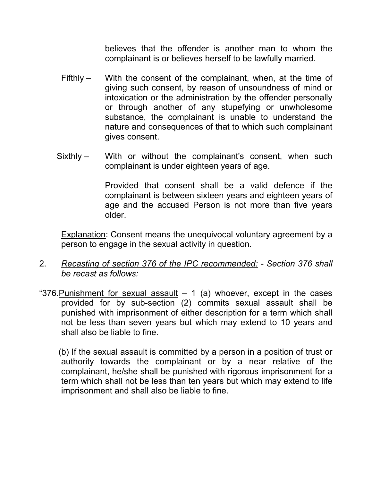believes that the offender is another man to whom the complainant is or believes herself to be lawfully married.

- Fifthly With the consent of the complainant, when, at the time of giving such consent, by reason of unsoundness of mind or intoxication or the administration by the offender personally or through another of any stupefying or unwholesome substance, the complainant is unable to understand the nature and consequences of that to which such complainant gives consent.
- Sixthly With or without the complainant's consent, when such complainant is under eighteen years of age.

Provided that consent shall be a valid defence if the complainant is between sixteen years and eighteen years of age and the accused Person is not more than five years older.

Explanation: Consent means the unequivocal voluntary agreement by a person to engage in the sexual activity in question.

- 2. Recasting of section 376 of the IPC recommended: Section 376 shall be recast as follows:
- "376. Punishment for sexual assault  $-1$  (a) whoever, except in the cases provided for by sub-section (2) commits sexual assault shall be punished with imprisonment of either description for a term which shall not be less than seven years but which may extend to 10 years and shall also be liable to fine.

 (b) If the sexual assault is committed by a person in a position of trust or authority towards the complainant or by a near relative of the complainant, he/she shall be punished with rigorous imprisonment for a term which shall not be less than ten years but which may extend to life imprisonment and shall also be liable to fine.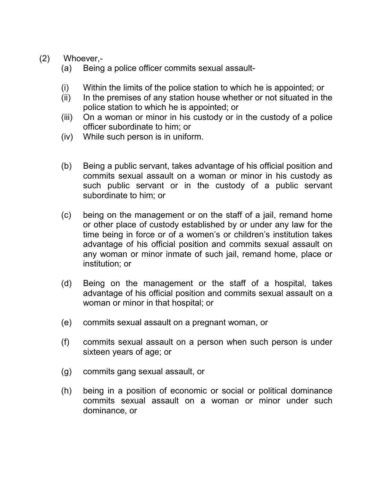# (2) Whoever,-

- (a) Being a police officer commits sexual assault-
- (i) Within the limits of the police station to which he is appointed; or
- (ii) In the premises of any station house whether or not situated in the police station to which he is appointed; or
- (iii) On a woman or minor in his custody or in the custody of a police officer subordinate to him; or
- (iv) While such person is in uniform.
- (b) Being a public servant, takes advantage of his official position and commits sexual assault on a woman or minor in his custody as such public servant or in the custody of a public servant subordinate to him; or
- (c) being on the management or on the staff of a jail, remand home or other place of custody established by or under any law for the time being in force or of a women's or children's institution takes advantage of his official position and commits sexual assault on any woman or minor inmate of such jail, remand home, place or institution; or
- (d) Being on the management or the staff of a hospital, takes advantage of his official position and commits sexual assault on a woman or minor in that hospital; or
- (e) commits sexual assault on a pregnant woman, or
- (f) commits sexual assault on a person when such person is under sixteen years of age; or
- (g) commits gang sexual assault, or
- (h) being in a position of economic or social or political dominance commits sexual assault on a woman or minor under such dominance, or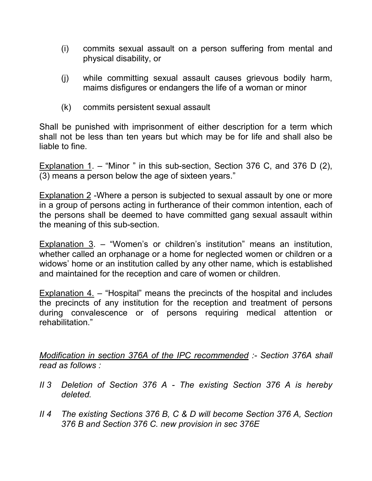- (i) commits sexual assault on a person suffering from mental and physical disability, or
- (j) while committing sexual assault causes grievous bodily harm, maims disfigures or endangers the life of a woman or minor
- (k) commits persistent sexual assault

Shall be punished with imprisonment of either description for a term which shall not be less than ten years but which may be for life and shall also be liable to fine.

Explanation 1. – "Minor " in this sub-section, Section 376 C, and 376 D (2), (3) means a person below the age of sixteen years."

Explanation 2 -Where a person is subjected to sexual assault by one or more in a group of persons acting in furtherance of their common intention, each of the persons shall be deemed to have committed gang sexual assault within the meaning of this sub-section.

Explanation  $3.$  – "Women's or children's institution" means an institution, whether called an orphanage or a home for neglected women or children or a widows' home or an institution called by any other name, which is established and maintained for the reception and care of women or children.

Explanation 4. – "Hospital" means the precincts of the hospital and includes the precincts of any institution for the reception and treatment of persons during convalescence or of persons requiring medical attention or rehabilitation."

Modification in section 376A of the IPC recommended :- Section 376A shall read as follows :

- II 3 Deletion of Section 376 A The existing Section 376 A is hereby deleted.
- II 4 The existing Sections 376 B, C & D will become Section 376 A, Section 376 B and Section 376 C. new provision in sec 376E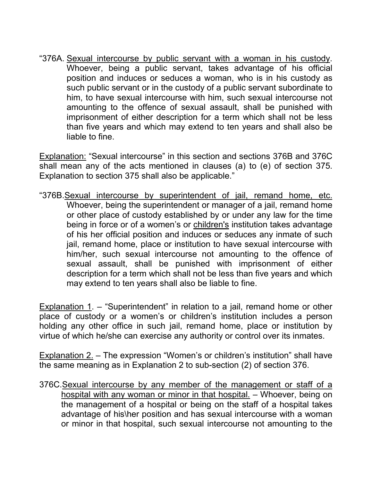"376A. Sexual intercourse by public servant with a woman in his custody. Whoever, being a public servant, takes advantage of his official position and induces or seduces a woman, who is in his custody as such public servant or in the custody of a public servant subordinate to him, to have sexual intercourse with him, such sexual intercourse not amounting to the offence of sexual assault, shall be punished with imprisonment of either description for a term which shall not be less than five years and which may extend to ten years and shall also be liable to fine.

Explanation: "Sexual intercourse" in this section and sections 376B and 376C shall mean any of the acts mentioned in clauses (a) to (e) of section 375. Explanation to section 375 shall also be applicable."

"376B.Sexual intercourse by superintendent of jail, remand home, etc. Whoever, being the superintendent or manager of a jail, remand home or other place of custody established by or under any law for the time being in force or of a women's or children's institution takes advantage of his her official position and induces or seduces any inmate of such jail, remand home, place or institution to have sexual intercourse with him/her, such sexual intercourse not amounting to the offence of sexual assault, shall be punished with imprisonment of either description for a term which shall not be less than five years and which may extend to ten years shall also be liable to fine.

Explanation  $1 -$  "Superintendent" in relation to a jail, remand home or other place of custody or a women's or children's institution includes a person holding any other office in such jail, remand home, place or institution by virtue of which he/she can exercise any authority or control over its inmates.

Explanation 2. – The expression "Women's or children's institution" shall have the same meaning as in Explanation 2 to sub-section (2) of section 376.

376C.Sexual intercourse by any member of the management or staff of a hospital with any woman or minor in that hospital. – Whoever, being on the management of a hospital or being on the staff of a hospital takes advantage of his\her position and has sexual intercourse with a woman or minor in that hospital, such sexual intercourse not amounting to the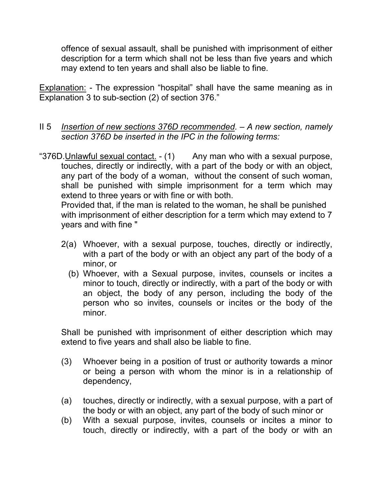offence of sexual assault, shall be punished with imprisonment of either description for a term which shall not be less than five years and which may extend to ten years and shall also be liable to fine.

Explanation: - The expression "hospital" shall have the same meaning as in Explanation 3 to sub-section (2) of section 376."

- II 5 Insertion of new sections 376D recommended.  $-$  A new section, namely section 376D be inserted in the IPC in the following terms:
- "376D. Unlawful sexual contact. (1) Any man who with a sexual purpose, touches, directly or indirectly, with a part of the body or with an object, any part of the body of a woman, without the consent of such woman, shall be punished with simple imprisonment for a term which may extend to three years or with fine or with both.

 Provided that, if the man is related to the woman, he shall be punished with imprisonment of either description for a term which may extend to 7 years and with fine "

- 2(a) Whoever, with a sexual purpose, touches, directly or indirectly, with a part of the body or with an object any part of the body of a minor, or
	- (b) Whoever, with a Sexual purpose, invites, counsels or incites a minor to touch, directly or indirectly, with a part of the body or with an object, the body of any person, including the body of the person who so invites, counsels or incites or the body of the minor.

Shall be punished with imprisonment of either description which may extend to five years and shall also be liable to fine.

- (3) Whoever being in a position of trust or authority towards a minor or being a person with whom the minor is in a relationship of dependency,
- (a) touches, directly or indirectly, with a sexual purpose, with a part of the body or with an object, any part of the body of such minor or
- (b) With a sexual purpose, invites, counsels or incites a minor to touch, directly or indirectly, with a part of the body or with an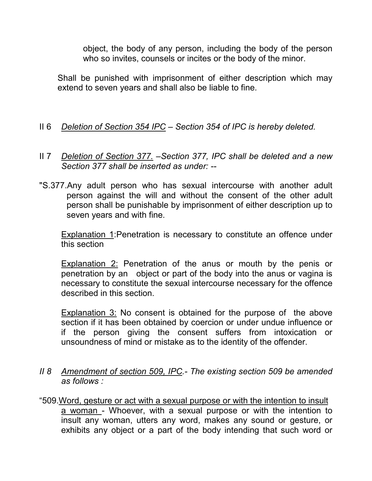object, the body of any person, including the body of the person who so invites, counsels or incites or the body of the minor.

Shall be punished with imprisonment of either description which may extend to seven years and shall also be liable to fine.

- II 6 Deletion of Section 354 IPC Section 354 of IPC is hereby deleted.
- II 7 Deletion of Section 377. Section 377, IPC shall be deleted and a new Section 377 shall be inserted as under: --
- "S.377.Any adult person who has sexual intercourse with another adult person against the will and without the consent of the other adult person shall be punishable by imprisonment of either description up to seven years and with fine.

Explanation 1:Penetration is necessary to constitute an offence under this section

Explanation 2: Penetration of the anus or mouth by the penis or penetration by an object or part of the body into the anus or vagina is necessary to constitute the sexual intercourse necessary for the offence described in this section.

Explanation 3: No consent is obtained for the purpose of the above section if it has been obtained by coercion or under undue influence or if the person giving the consent suffers from intoxication or unsoundness of mind or mistake as to the identity of the offender.

II 8 Amendment of section 509, IPC.- The existing section 509 be amended as follows :

"509.Word, gesture or act with a sexual purpose or with the intention to insult a woman - Whoever, with a sexual purpose or with the intention to insult any woman, utters any word, makes any sound or gesture, or exhibits any object or a part of the body intending that such word or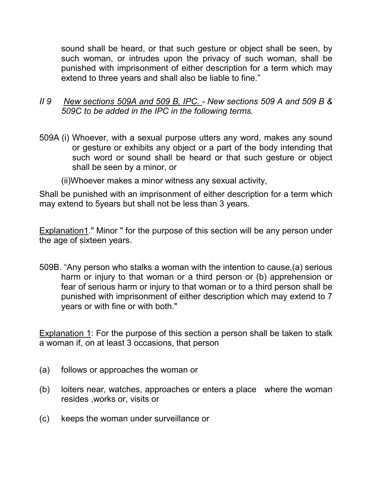sound shall be heard, or that such gesture or object shall be seen, by such woman, or intrudes upon the privacy of such woman, shall be punished with imprisonment of either description for a term which may extend to three years and shall also be liable to fine."

#### II 9 New sections 509A and 509 B, IPC. - New sections 509 A and 509 B & 509C to be added in the IPC in the following terms.

- 509A (i) Whoever, with a sexual purpose utters any word, makes any sound or gesture or exhibits any object or a part of the body intending that such word or sound shall be heard or that such gesture or object shall be seen by a minor, or
	- (ii)Whoever makes a minor witness any sexual activity,

Shall be punished with an imprisonment of either description for a term which may extend to 5years but shall not be less than 3 years.

Explanation1." Minor " for the purpose of this section will be any person under the age of sixteen years.

509B. "Any person who stalks a woman with the intention to cause,(a) serious harm or injury to that woman or a third person or (b) apprehension or fear of serious harm or injury to that woman or to a third person shall be punished with imprisonment of either description which may extend to 7 years or with fine or with both."

Explanation 1: For the purpose of this section a person shall be taken to stalk a woman if, on at least 3 occasions, that person

- (a) follows or approaches the woman or
- (b) loiters near, watches, approaches or enters a place where the woman resides ,works or, visits or
- (c) keeps the woman under surveillance or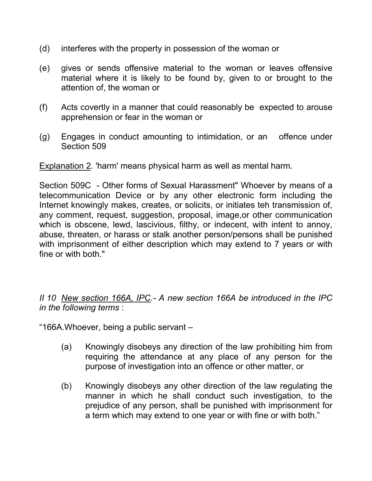- (d) interferes with the property in possession of the woman or
- (e) gives or sends offensive material to the woman or leaves offensive material where it is likely to be found by, given to or brought to the attention of, the woman or
- (f) Acts covertly in a manner that could reasonably be expected to arouse apprehension or fear in the woman or
- (g) Engages in conduct amounting to intimidation, or an offence under Section 509

Explanation 2. 'harm' means physical harm as well as mental harm.

Section 509C - Other forms of Sexual Harassment" Whoever by means of a telecommunication Device or by any other electronic form including the Internet knowingly makes, creates, or solicits, or initiates teh transmission of, any comment, request, suggestion, proposal, image,or other communication which is obscene, lewd, lascivious, filthy, or indecent, with intent to annoy, abuse, threaten, or harass or stalk another person/persons shall be punished with imprisonment of either description which may extend to 7 years or with fine or with both."

II 10 New section 166A, IPC.- A new section 166A be introduced in the IPC in the following terms :

"166A.Whoever, being a public servant –

- (a) Knowingly disobeys any direction of the law prohibiting him from requiring the attendance at any place of any person for the purpose of investigation into an offence or other matter, or
- (b) Knowingly disobeys any other direction of the law regulating the manner in which he shall conduct such investigation, to the prejudice of any person, shall be punished with imprisonment for a term which may extend to one year or with fine or with both."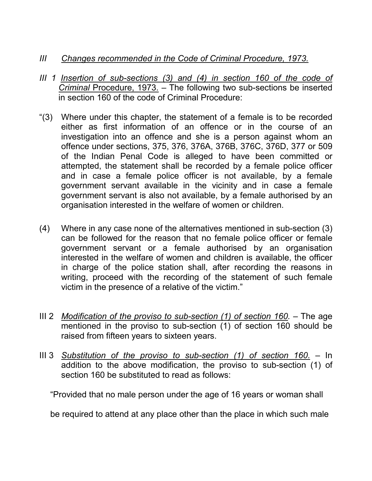### III Changes recommended in the Code of Criminal Procedure, 1973.

- III 1 Insertion of sub-sections (3) and (4) in section 160 of the code of Criminal Procedure, 1973. – The following two sub-sections be inserted in section 160 of the code of Criminal Procedure:
- "(3) Where under this chapter, the statement of a female is to be recorded either as first information of an offence or in the course of an investigation into an offence and she is a person against whom an offence under sections, 375, 376, 376A, 376B, 376C, 376D, 377 or 509 of the Indian Penal Code is alleged to have been committed or attempted, the statement shall be recorded by a female police officer and in case a female police officer is not available, by a female government servant available in the vicinity and in case a female government servant is also not available, by a female authorised by an organisation interested in the welfare of women or children.
- (4) Where in any case none of the alternatives mentioned in sub-section (3) can be followed for the reason that no female police officer or female government servant or a female authorised by an organisation interested in the welfare of women and children is available, the officer in charge of the police station shall, after recording the reasons in writing, proceed with the recording of the statement of such female victim in the presence of a relative of the victim."
- III 2 *Modification of the proviso to sub-section (1) of section 160.* The age mentioned in the proviso to sub-section (1) of section 160 should be raised from fifteen years to sixteen years.
- III 3 Substitution of the proviso to sub-section  $(1)$  of section  $160.$  In addition to the above modification, the proviso to sub-section (1) of section 160 be substituted to read as follows:

"Provided that no male person under the age of 16 years or woman shall

be required to attend at any place other than the place in which such male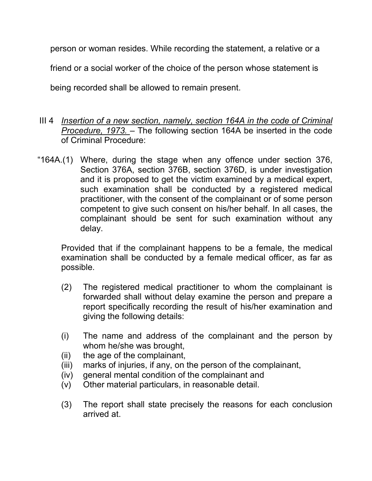person or woman resides. While recording the statement, a relative or a friend or a social worker of the choice of the person whose statement is being recorded shall be allowed to remain present.

- III 4 *Insertion of a new section, namely, section 164A in the code of Criminal* Procedure, 1973. – The following section 164A be inserted in the code of Criminal Procedure:
- "164A.(1) Where, during the stage when any offence under section 376, Section 376A, section 376B, section 376D, is under investigation and it is proposed to get the victim examined by a medical expert, such examination shall be conducted by a registered medical practitioner, with the consent of the complainant or of some person competent to give such consent on his/her behalf. In all cases, the complainant should be sent for such examination without any delay.

Provided that if the complainant happens to be a female, the medical examination shall be conducted by a female medical officer, as far as possible.

- (2) The registered medical practitioner to whom the complainant is forwarded shall without delay examine the person and prepare a report specifically recording the result of his/her examination and giving the following details:
- (i) The name and address of the complainant and the person by whom he/she was brought,
- (ii) the age of the complainant,
- (iii) marks of injuries, if any, on the person of the complainant,
- (iv) general mental condition of the complainant and
- (v) Other material particulars, in reasonable detail.
- (3) The report shall state precisely the reasons for each conclusion arrived at.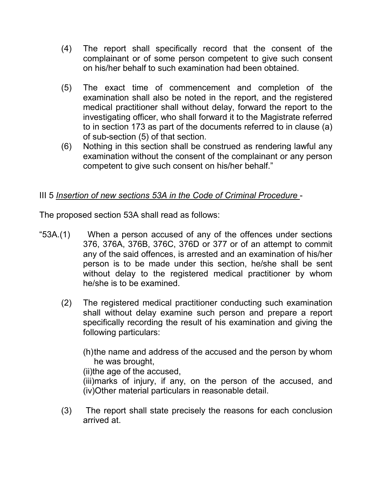- (4) The report shall specifically record that the consent of the complainant or of some person competent to give such consent on his/her behalf to such examination had been obtained.
- (5) The exact time of commencement and completion of the examination shall also be noted in the report, and the registered medical practitioner shall without delay, forward the report to the investigating officer, who shall forward it to the Magistrate referred to in section 173 as part of the documents referred to in clause (a) of sub-section (5) of that section.
- (6) Nothing in this section shall be construed as rendering lawful any examination without the consent of the complainant or any person competent to give such consent on his/her behalf."

# III 5 Insertion of new sections 53A in the Code of Criminal Procedure -

The proposed section 53A shall read as follows:

- "53A.(1) When a person accused of any of the offences under sections 376, 376A, 376B, 376C, 376D or 377 or of an attempt to commit any of the said offences, is arrested and an examination of his/her person is to be made under this section, he/she shall be sent without delay to the registered medical practitioner by whom he/she is to be examined.
	- (2) The registered medical practitioner conducting such examination shall without delay examine such person and prepare a report specifically recording the result of his examination and giving the following particulars:
		- (h) the name and address of the accused and the person by whom he was brought,

(ii)the age of the accused,

(iii)marks of injury, if any, on the person of the accused, and (iv)Other material particulars in reasonable detail.

(3) The report shall state precisely the reasons for each conclusion arrived at.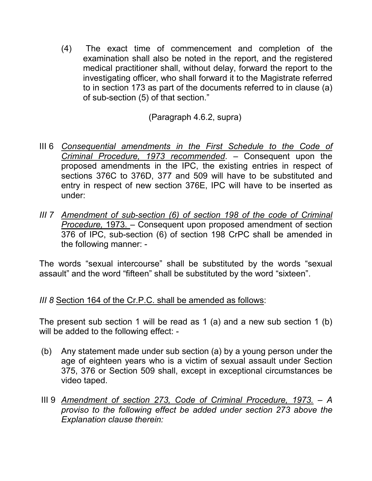(4) The exact time of commencement and completion of the examination shall also be noted in the report, and the registered medical practitioner shall, without delay, forward the report to the investigating officer, who shall forward it to the Magistrate referred to in section 173 as part of the documents referred to in clause (a) of sub-section (5) of that section."

(Paragraph 4.6.2, supra)

- III 6 Consequential amendments in the First Schedule to the Code of Criminal Procedure, 1973 recommended. - Consequent upon the proposed amendments in the IPC, the existing entries in respect of sections 376C to 376D, 377 and 509 will have to be substituted and entry in respect of new section 376E, IPC will have to be inserted as under:
- III 7 Amendment of sub-section (6) of section 198 of the code of Criminal Procedure, 1973. – Consequent upon proposed amendment of section 376 of IPC, sub-section (6) of section 198 CrPC shall be amended in the following manner: -

The words "sexual intercourse" shall be substituted by the words "sexual assault" and the word "fifteen" shall be substituted by the word "sixteen".

# III 8 Section 164 of the Cr.P.C. shall be amended as follows:

The present sub section 1 will be read as 1 (a) and a new sub section 1 (b) will be added to the following effect: -

- (b) Any statement made under sub section (a) by a young person under the age of eighteen years who is a victim of sexual assault under Section 375, 376 or Section 509 shall, except in exceptional circumstances be video taped.
- III 9 Amendment of section 273, Code of Criminal Procedure, 1973. A proviso to the following effect be added under section 273 above the Explanation clause therein: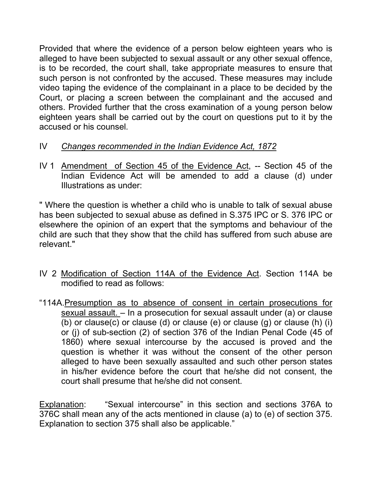Provided that where the evidence of a person below eighteen years who is alleged to have been subjected to sexual assault or any other sexual offence, is to be recorded, the court shall, take appropriate measures to ensure that such person is not confronted by the accused. These measures may include video taping the evidence of the complainant in a place to be decided by the Court, or placing a screen between the complainant and the accused and others. Provided further that the cross examination of a young person below eighteen years shall be carried out by the court on questions put to it by the accused or his counsel.

- IV Changes recommended in the Indian Evidence Act, 1872
- IV 1 Amendment of Section 45 of the Evidence Act, -- Section 45 of the Indian Evidence Act will be amended to add a clause (d) under Illustrations as under:

" Where the question is whether a child who is unable to talk of sexual abuse has been subjected to sexual abuse as defined in S.375 IPC or S. 376 IPC or elsewhere the opinion of an expert that the symptoms and behaviour of the child are such that they show that the child has suffered from such abuse are relevant."

- IV 2 Modification of Section 114A of the Evidence Act. Section 114A be modified to read as follows:
- "114A.Presumption as to absence of consent in certain prosecutions for sexual assault. – In a prosecution for sexual assault under (a) or clause (b) or clause(c) or clause (d) or clause (e) or clause (g) or clause (h) (i) or (j) of sub-section (2) of section 376 of the Indian Penal Code (45 of 1860) where sexual intercourse by the accused is proved and the question is whether it was without the consent of the other person alleged to have been sexually assaulted and such other person states in his/her evidence before the court that he/she did not consent, the court shall presume that he/she did not consent.

Explanation: "Sexual intercourse" in this section and sections 376A to 376C shall mean any of the acts mentioned in clause (a) to (e) of section 375. Explanation to section 375 shall also be applicable."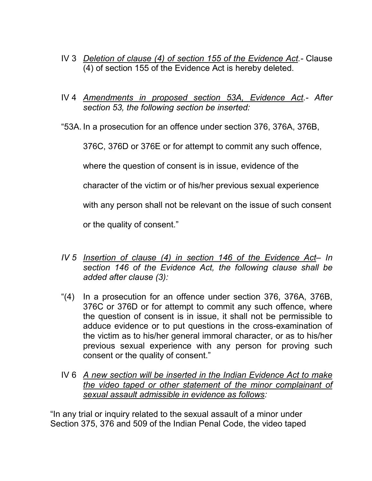- IV 3 Deletion of clause (4) of section 155 of the Evidence Act.- Clause (4) of section 155 of the Evidence Act is hereby deleted.
- IV 4 Amendments in proposed section 53A, Evidence Act.- After section 53, the following section be inserted:
- "53A. In a prosecution for an offence under section 376, 376A, 376B,

376C, 376D or 376E or for attempt to commit any such offence,

where the question of consent is in issue, evidence of the

character of the victim or of his/her previous sexual experience

with any person shall not be relevant on the issue of such consent

or the quality of consent."

- IV 5 Insertion of clause (4) in section 146 of the Evidence Act- In section 146 of the Evidence Act, the following clause shall be added after clause (3):
- "(4) In a prosecution for an offence under section 376, 376A, 376B, 376C or 376D or for attempt to commit any such offence, where the question of consent is in issue, it shall not be permissible to adduce evidence or to put questions in the cross-examination of the victim as to his/her general immoral character, or as to his/her previous sexual experience with any person for proving such consent or the quality of consent."
- IV 6 A new section will be inserted in the Indian Evidence Act to make the video taped or other statement of the minor complainant of sexual assault admissible in evidence as follows:

"In any trial or inquiry related to the sexual assault of a minor under Section 375, 376 and 509 of the Indian Penal Code, the video taped